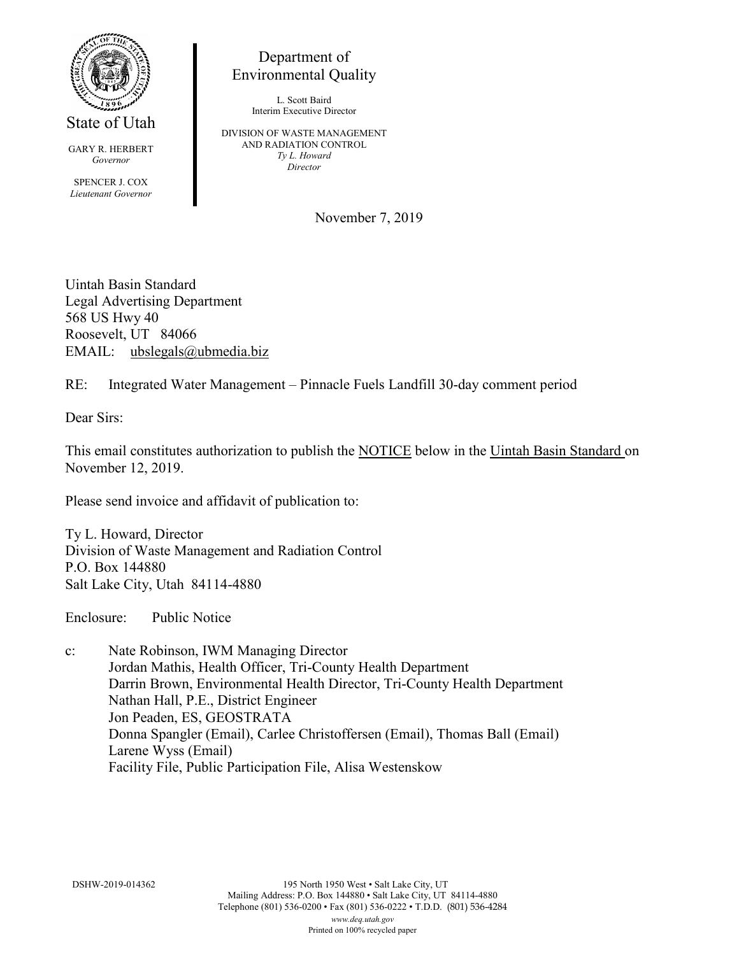

State of Utah

GARY R. HERBERT *Governor* SPENCER J. COX *Lieutenant Governor*

Department of Environmental Quality

> L. Scott Baird Interim Executive Director

DIVISION OF WASTE MANAGEMENT AND RADIATION CONTROL *Ty L. Howard Director*

November 7, 2019

Uintah Basin Standard Legal Advertising Department 568 US Hwy 40 Roosevelt, UT 84066 EMAIL: ubslegals@ubmedia.biz

RE: Integrated Water Management – Pinnacle Fuels Landfill 30-day comment period

Dear Sirs:

This email constitutes authorization to publish the NOTICE below in the Uintah Basin Standard on November 12, 2019.

Please send invoice and affidavit of publication to:

Ty L. Howard, Director Division of Waste Management and Radiation Control P.O. Box 144880 Salt Lake City, Utah 84114-4880

Enclosure: Public Notice

c: Nate Robinson, IWM Managing Director Jordan Mathis, Health Officer, Tri-County Health Department Darrin Brown, Environmental Health Director, Tri-County Health Department Nathan Hall, P.E., District Engineer Jon Peaden, ES, GEOSTRATA Donna Spangler (Email), Carlee Christoffersen (Email), Thomas Ball (Email) Larene Wyss (Email) Facility File, Public Participation File, Alisa Westenskow